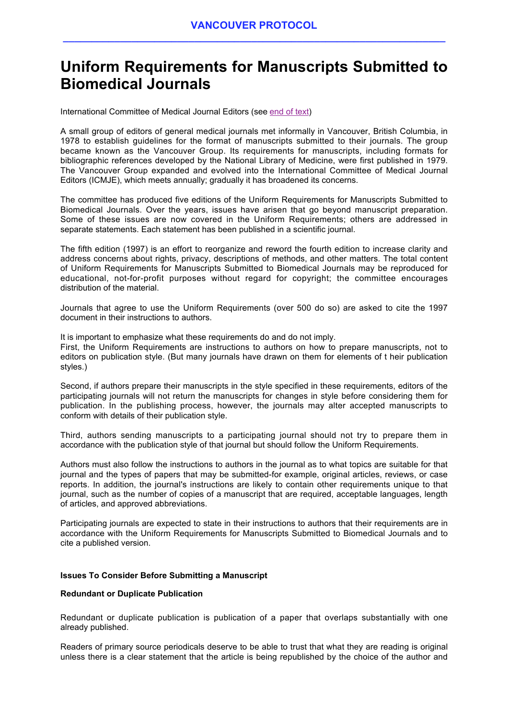# **Uniform Requirements for Manuscripts Submitted to Biomedical Journals**

International Committee of Medical Journal Editors (see end of text)

A small group of editors of general medical journals met informally in Vancouver, British Columbia, in 1978 to establish guidelines for the format of manuscripts submitted to their journals. The group became known as the Vancouver Group. Its requirements for manuscripts, including formats for bibliographic references developed by the National Library of Medicine, were first published in 1979. The Vancouver Group expanded and evolved into the International Committee of Medical Journal Editors (ICMJE), which meets annually; gradually it has broadened its concerns.

The committee has produced five editions of the Uniform Requirements for Manuscripts Submitted to Biomedical Journals. Over the years, issues have arisen that go beyond manuscript preparation. Some of these issues are now covered in the Uniform Requirements; others are addressed in separate statements. Each statement has been published in a scientific journal.

The fifth edition (1997) is an effort to reorganize and reword the fourth edition to increase clarity and address concerns about rights, privacy, descriptions of methods, and other matters. The total content of Uniform Requirements for Manuscripts Submitted to Biomedical Journals may be reproduced for educational, not-for-profit purposes without regard for copyright; the committee encourages distribution of the material.

Journals that agree to use the Uniform Requirements (over 500 do so) are asked to cite the 1997 document in their instructions to authors.

It is important to emphasize what these requirements do and do not imply.

First, the Uniform Requirements are instructions to authors on how to prepare manuscripts, not to editors on publication style. (But many journals have drawn on them for elements of t heir publication styles.)

Second, if authors prepare their manuscripts in the style specified in these requirements, editors of the participating journals will not return the manuscripts for changes in style before considering them for publication. In the publishing process, however, the journals may alter accepted manuscripts to conform with details of their publication style.

Third, authors sending manuscripts to a participating journal should not try to prepare them in accordance with the publication style of that journal but should follow the Uniform Requirements.

Authors must also follow the instructions to authors in the journal as to what topics are suitable for that journal and the types of papers that may be submitted-for example, original articles, reviews, or case reports. In addition, the journal's instructions are likely to contain other requirements unique to that journal, such as the number of copies of a manuscript that are required, acceptable languages, length of articles, and approved abbreviations.

Participating journals are expected to state in their instructions to authors that their requirements are in accordance with the Uniform Requirements for Manuscripts Submitted to Biomedical Journals and to cite a published version.

## **Issues To Consider Before Submitting a Manuscript**

## **Redundant or Duplicate Publication**

Redundant or duplicate publication is publication of a paper that overlaps substantially with one already published.

Readers of primary source periodicals deserve to be able to trust that what they are reading is original unless there is a clear statement that the article is being republished by the choice of the author and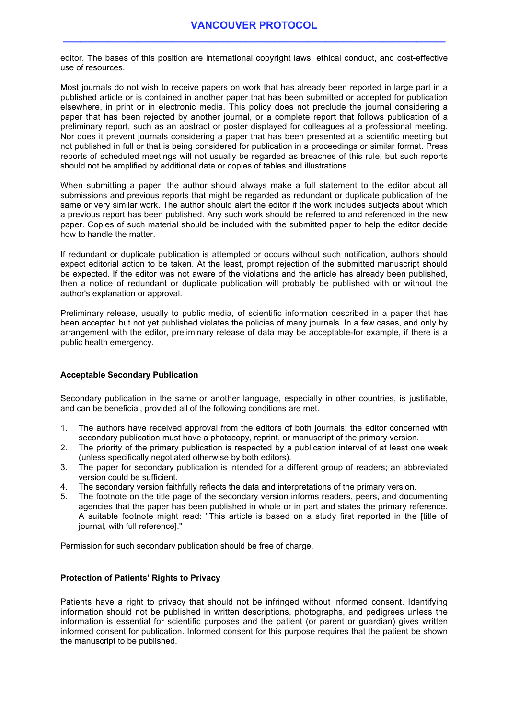editor. The bases of this position are international copyright laws, ethical conduct, and cost-effective use of resources.

Most journals do not wish to receive papers on work that has already been reported in large part in a published article or is contained in another paper that has been submitted or accepted for publication elsewhere, in print or in electronic media. This policy does not preclude the journal considering a paper that has been rejected by another journal, or a complete report that follows publication of a preliminary report, such as an abstract or poster displayed for colleagues at a professional meeting. Nor does it prevent journals considering a paper that has been presented at a scientific meeting but not published in full or that is being considered for publication in a proceedings or similar format. Press reports of scheduled meetings will not usually be regarded as breaches of this rule, but such reports should not be amplified by additional data or copies of tables and illustrations.

When submitting a paper, the author should always make a full statement to the editor about all submissions and previous reports that might be regarded as redundant or duplicate publication of the same or very similar work. The author should alert the editor if the work includes subjects about which a previous report has been published. Any such work should be referred to and referenced in the new paper. Copies of such material should be included with the submitted paper to help the editor decide how to handle the matter.

If redundant or duplicate publication is attempted or occurs without such notification, authors should expect editorial action to be taken. At the least, prompt rejection of the submitted manuscript should be expected. If the editor was not aware of the violations and the article has already been published, then a notice of redundant or duplicate publication will probably be published with or without the author's explanation or approval.

Preliminary release, usually to public media, of scientific information described in a paper that has been accepted but not yet published violates the policies of many journals. In a few cases, and only by arrangement with the editor, preliminary release of data may be acceptable-for example, if there is a public health emergency.

## **Acceptable Secondary Publication**

Secondary publication in the same or another language, especially in other countries, is justifiable, and can be beneficial, provided all of the following conditions are met.

- 1. The authors have received approval from the editors of both journals; the editor concerned with secondary publication must have a photocopy, reprint, or manuscript of the primary version.
- 2. The priority of the primary publication is respected by a publication interval of at least one week (unless specifically negotiated otherwise by both editors).
- 3. The paper for secondary publication is intended for a different group of readers; an abbreviated version could be sufficient.
- 4. The secondary version faithfully reflects the data and interpretations of the primary version.
- 5. The footnote on the title page of the secondary version informs readers, peers, and documenting agencies that the paper has been published in whole or in part and states the primary reference. A suitable footnote might read: "This article is based on a study first reported in the [title of journal, with full reference]."

Permission for such secondary publication should be free of charge.

## **Protection of Patients' Rights to Privacy**

Patients have a right to privacy that should not be infringed without informed consent. Identifying information should not be published in written descriptions, photographs, and pedigrees unless the information is essential for scientific purposes and the patient (or parent or guardian) gives written informed consent for publication. Informed consent for this purpose requires that the patient be shown the manuscript to be published.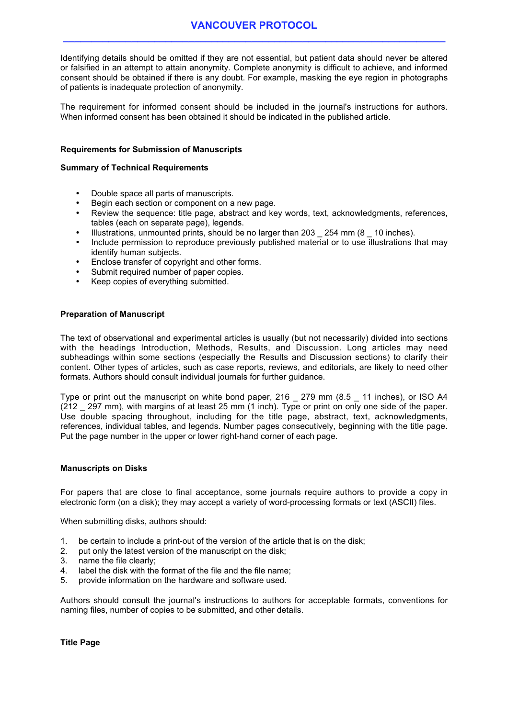Identifying details should be omitted if they are not essential, but patient data should never be altered or falsified in an attempt to attain anonymity. Complete anonymity is difficult to achieve, and informed consent should be obtained if there is any doubt. For example, masking the eye region in photographs of patients is inadequate protection of anonymity.

The requirement for informed consent should be included in the journal's instructions for authors. When informed consent has been obtained it should be indicated in the published article.

## **Requirements for Submission of Manuscripts**

## **Summary of Technical Requirements**

Double space all parts of manuscripts. Begin each section or component on a new page. Review the sequence: title page, abstract and key words, text, acknowledgments, references, tables (each on separate page), legends. Illustrations, unmounted prints, should be no larger than 203 254 mm (8 10 inches). Include permission to reproduce previously published material or to use illustrations that may identify human subjects. Enclose transfer of copyright and other forms. Submit required number of paper copies. Keep copies of everything submitted.

## **Preparation of Manuscript**

The text of observational and experimental articles is usually (but not necessarily) divided into sections with the headings Introduction, Methods, Results, and Discussion. Long articles may need subheadings within some sections (especially the Results and Discussion sections) to clarify their content. Other types of articles, such as case reports, reviews, and editorials, are likely to need other formats. Authors should consult individual journals for further guidance.

Type or print out the manuscript on white bond paper, 216 \_ 279 mm (8.5 \_ 11 inches), or ISO A4 (212 \_ 297 mm), with margins of at least 25 mm (1 inch). Type or print on only one side of the paper. Use double spacing throughout, including for the title page, abstract, text, acknowledgments, references, individual tables, and legends. Number pages consecutively, beginning with the title page. Put the page number in the upper or lower right-hand corner of each page.

## **Manuscripts on Disks**

For papers that are close to final acceptance, some journals require authors to provide a copy in electronic form (on a disk); they may accept a variety of word-processing formats or text (ASCII) files.

When submitting disks, authors should:

- 1. be certain to include a print-out of the version of the article that is on the disk;
- 2. put only the latest version of the manuscript on the disk;
- 3. name the file clearly;
- 4. label the disk with the format of the file and the file name;
- 5. provide information on the hardware and software used.

Authors should consult the journal's instructions to authors for acceptable formats, conventions for naming files, number of copies to be submitted, and other details.

**Title Page**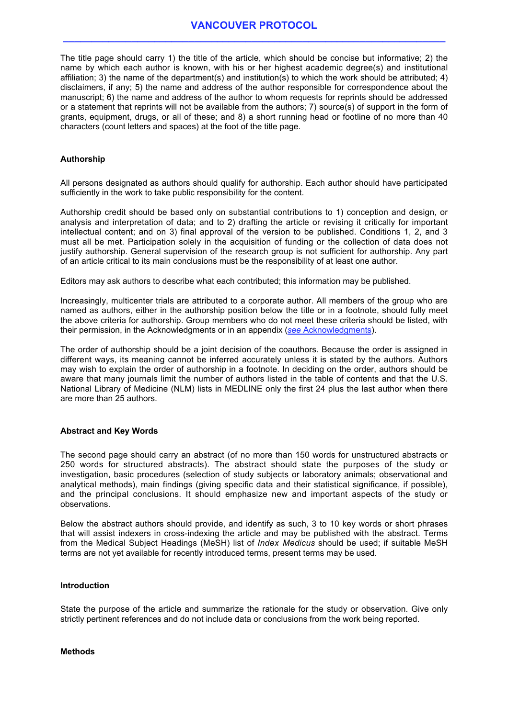The title page should carry 1) the title of the article, which should be concise but informative; 2) the name by which each author is known, with his or her highest academic degree(s) and institutional affiliation; 3) the name of the department(s) and institution(s) to which the work should be attributed; 4) disclaimers, if any; 5) the name and address of the author responsible for correspondence about the manuscript; 6) the name and address of the author to whom requests for reprints should be addressed or a statement that reprints will not be available from the authors; 7) source(s) of support in the form of grants, equipment, drugs, or all of these; and 8) a short running head or footline of no more than 40 characters (count letters and spaces) at the foot of the title page.

## **Authorship**

All persons designated as authors should qualify for authorship. Each author should have participated sufficiently in the work to take public responsibility for the content.

Authorship credit should be based only on substantial contributions to 1) conception and design, or analysis and interpretation of data; and to 2) drafting the article or revising it critically for important intellectual content; and on 3) final approval of the version to be published. Conditions 1, 2, and 3 must all be met. Participation solely in the acquisition of funding or the collection of data does not justify authorship. General supervision of the research group is not sufficient for authorship. Any part of an article critical to its main conclusions must be the responsibility of at least one author.

Editors may ask authors to describe what each contributed; this information may be published.

Increasingly, multicenter trials are attributed to a corporate author. All members of the group who are named as authors, either in the authorship position below the title or in a footnote, should fully meet the above criteria for authorship. Group members who do not meet these criteria should be listed, with their permission, in the Acknowledgments or in an appendix (*see* Acknowledgments).

The order of authorship should be a joint decision of the coauthors. Because the order is assigned in different ways, its meaning cannot be inferred accurately unless it is stated by the authors. Authors may wish to explain the order of authorship in a footnote. In deciding on the order, authors should be aware that many journals limit the number of authors listed in the table of contents and that the U.S. National Library of Medicine (NLM) lists in MEDLINE only the first 24 plus the last author when there are more than 25 authors.

## **Abstract and Key Words**

The second page should carry an abstract (of no more than 150 words for unstructured abstracts or 250 words for structured abstracts). The abstract should state the purposes of the study or investigation, basic procedures (selection of study subjects or laboratory animals; observational and analytical methods), main findings (giving specific data and their statistical significance, if possible), and the principal conclusions. It should emphasize new and important aspects of the study or observations.

Below the abstract authors should provide, and identify as such, 3 to 10 key words or short phrases that will assist indexers in cross-indexing the article and may be published with the abstract. Terms from the Medical Subject Headings (MeSH) list of *Index Medicus* should be used; if suitable MeSH terms are not yet available for recently introduced terms, present terms may be used.

## **Introduction**

State the purpose of the article and summarize the rationale for the study or observation. Give only strictly pertinent references and do not include data or conclusions from the work being reported.

#### **Methods**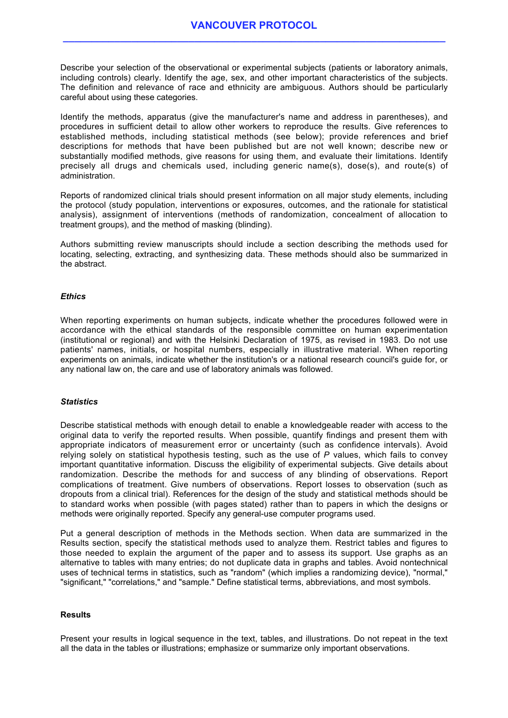Describe your selection of the observational or experimental subjects (patients or laboratory animals, including controls) clearly. Identify the age, sex, and other important characteristics of the subjects. The definition and relevance of race and ethnicity are ambiguous. Authors should be particularly careful about using these categories.

Identify the methods, apparatus (give the manufacturer's name and address in parentheses), and procedures in sufficient detail to allow other workers to reproduce the results. Give references to established methods, including statistical methods (see below); provide references and brief descriptions for methods that have been published but are not well known; describe new or substantially modified methods, give reasons for using them, and evaluate their limitations. Identify precisely all drugs and chemicals used, including generic name(s), dose(s), and route(s) of administration.

Reports of randomized clinical trials should present information on all major study elements, including the protocol (study population, interventions or exposures, outcomes, and the rationale for statistical analysis), assignment of interventions (methods of randomization, concealment of allocation to treatment groups), and the method of masking (blinding).

Authors submitting review manuscripts should include a section describing the methods used for locating, selecting, extracting, and synthesizing data. These methods should also be summarized in the abstract.

## *Ethics*

When reporting experiments on human subjects, indicate whether the procedures followed were in accordance with the ethical standards of the responsible committee on human experimentation (institutional or regional) and with the Helsinki Declaration of 1975, as revised in 1983. Do not use patients' names, initials, or hospital numbers, especially in illustrative material. When reporting experiments on animals, indicate whether the institution's or a national research council's guide for, or any national law on, the care and use of laboratory animals was followed.

## *Statistics*

Describe statistical methods with enough detail to enable a knowledgeable reader with access to the original data to verify the reported results. When possible, quantify findings and present them with appropriate indicators of measurement error or uncertainty (such as confidence intervals). Avoid relying solely on statistical hypothesis testing, such as the use of *P* values, which fails to convey important quantitative information. Discuss the eligibility of experimental subjects. Give details about randomization. Describe the methods for and success of any blinding of observations. Report complications of treatment. Give numbers of observations. Report losses to observation (such as dropouts from a clinical trial). References for the design of the study and statistical methods should be to standard works when possible (with pages stated) rather than to papers in which the designs or methods were originally reported. Specify any general-use computer programs used.

Put a general description of methods in the Methods section. When data are summarized in the Results section, specify the statistical methods used to analyze them. Restrict tables and figures to those needed to explain the argument of the paper and to assess its support. Use graphs as an alternative to tables with many entries; do not duplicate data in graphs and tables. Avoid nontechnical uses of technical terms in statistics, such as "random" (which implies a randomizing device), "normal," "significant," "correlations," and "sample." Define statistical terms, abbreviations, and most symbols.

## **Results**

Present your results in logical sequence in the text, tables, and illustrations. Do not repeat in the text all the data in the tables or illustrations; emphasize or summarize only important observations.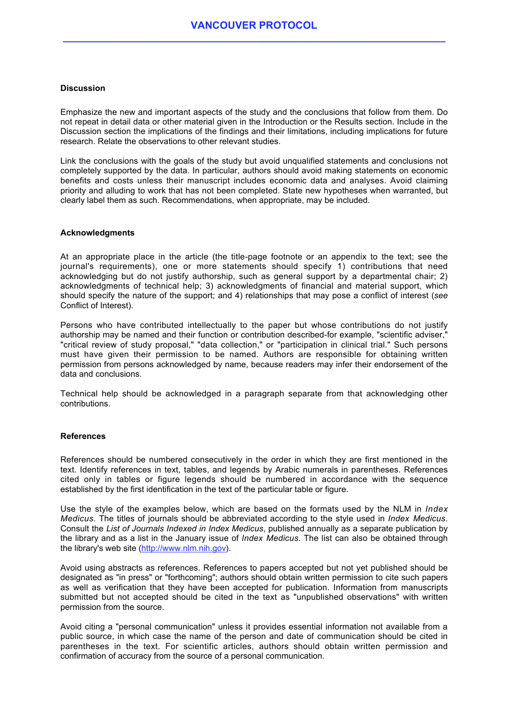## **Discussion**

Emphasize the new and important aspects of the study and the conclusions that follow from them. Do not repeat in detail data or other material given in the Introduction or the Results section. Include in the Discussion section the implications of the findings and their limitations, including implications for future research. Relate the observations to other relevant studies.

Link the conclusions with the goals of the study but avoid unqualified statements and conclusions not completely supported by the data. In particular, authors should avoid making statements on economic benefits and costs unless their manuscript includes economic data and analyses. Avoid claiming priority and alluding to work that has not been completed. State new hypotheses when warranted, but clearly label them as such. Recommendations, when appropriate, may be included.

#### **Acknowledgments**

At an appropriate place in the article (the title-page footnote or an appendix to the text; see the journal's requirements), one or more statements should specify 1) contributions that need acknowledging but do not justify authorship, such as general support by a departmental chair; 2) acknowledgments of technical help; 3) acknowledgments of financial and material support, which should specify the nature of the support; and 4) relationships that may pose a conflict of interest (*see* Conflict of Interest).

Persons who have contributed intellectually to the paper but whose contributions do not justify authorship may be named and their function or contribution described-for example, "scientific adviser," "critical review of study proposal," "data collection," or "participation in clinical trial." Such persons must have given their permission to be named. Authors are responsible for obtaining written permission from persons acknowledged by name, because readers may infer their endorsement of the data and conclusions.

Technical help should be acknowledged in a paragraph separate from that acknowledging other contributions.

#### **References**

References should be numbered consecutively in the order in which they are first mentioned in the text. Identify references in text, tables, and legends by Arabic numerals in parentheses. References cited only in tables or figure legends should be numbered in accordance with the sequence established by the first identification in the text of the particular table or figure.

Use the style of the examples below, which are based on the formats used by the NLM in *Index Medicus*. The titles of journals should be abbreviated according to the style used in *Index Medicus*. Consult the *List of Journals Indexed in Index Medicus*, published annually as a separate publication by the library and as a list in the January issue of *Index Medicus*. The list can also be obtained through the library's web site (http://www.nlm.nih.gov).

Avoid using abstracts as references. References to papers accepted but not yet published should be designated as "in press" or "forthcoming"; authors should obtain written permission to cite such papers as well as verification that they have been accepted for publication. Information from manuscripts submitted but not accepted should be cited in the text as "unpublished observations" with written permission from the source.

Avoid citing a "personal communication" unless it provides essential information not available from a public source, in which case the name of the person and date of communication should be cited in parentheses in the text. For scientific articles, authors should obtain written permission and confirmation of accuracy from the source of a personal communication.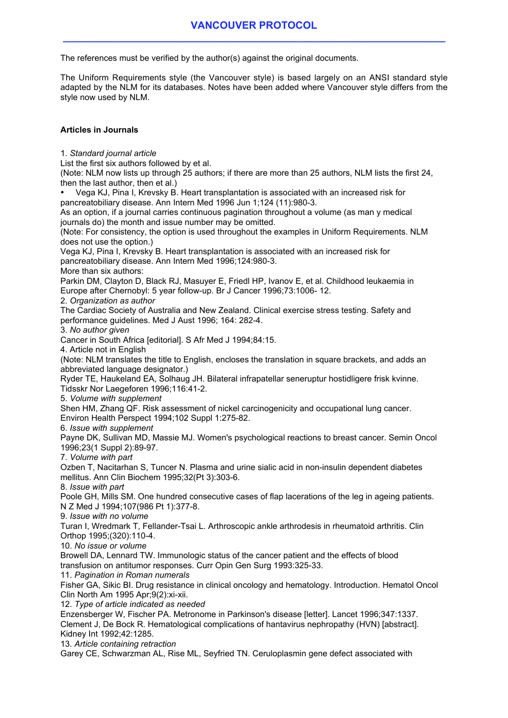The references must be verified by the author(s) against the original documents.

The Uniform Requirements style (the Vancouver style) is based largely on an ANSI standard style adapted by the NLM for its databases. Notes have been added where Vancouver style differs from the style now used by NLM.

## **Articles in Journals**

1. *Standard journal article*

List the first six authors followed by et al.

(Note: NLM now lists up through 25 authors; if there are more than 25 authors, NLM lists the first 24, then the last author, then et al.)

Vega KJ, Pina I, Krevsky B. Heart transplantation is associated with an increased risk for pancreatobiliary disease. Ann Intern Med 1996 Jun 1;124 (11):980-3.

As an option, if a journal carries continuous pagination throughout a volume (as man y medical journals do) the month and issue number may be omitted.

(Note: For consistency, the option is used throughout the examples in Uniform Requirements. NLM does not use the option.)

Vega KJ, Pina I, Krevsky B. Heart transplantation is associated with an increased risk for pancreatobiliary disease. Ann Intern Med 1996;124:980-3.

More than six authors:

Parkin DM, Clayton D, Black RJ, Masuyer E, Friedl HP, Ivanov E, et al. Childhood leukaemia in Europe after Chernobyl: 5 year follow-up. Br J Cancer 1996;73:1006- 12.

2. *Organization as author*

The Cardiac Society of Australia and New Zealand. Clinical exercise stress testing. Safety and performance guidelines. Med J Aust 1996; 164: 282-4.

3. *No author given*

Cancer in South Africa [editorial]. S Afr Med J 1994;84:15.

4. Article not in English

(Note: NLM translates the title to English, encloses the translation in square brackets, and adds an abbreviated language designator.)

Ryder TE, Haukeland EA, Solhaug JH. Bilateral infrapatellar seneruptur hostidligere frisk kvinne. Tidsskr Nor Laegeforen 1996;116:41-2.

5. *Volume with supplement*

Shen HM, Zhang QF. Risk assessment of nickel carcinogenicity and occupational lung cancer. Environ Health Perspect 1994;102 Suppl 1:275-82.

6. *Issue with supplement*

Payne DK, Sullivan MD, Massie MJ. Women's psychological reactions to breast cancer. Semin Oncol 1996;23(1 Suppl 2):89-97.

7. *Volume with part*

Ozben T, Nacitarhan S, Tuncer N. Plasma and urine sialic acid in non-insulin dependent diabetes mellitus. Ann Clin Biochem 1995;32(Pt 3):303-6.

8. *Issue with part*

Poole GH, Mills SM. One hundred consecutive cases of flap lacerations of the leg in ageing patients. N Z Med J 1994;107(986 Pt 1):377-8.

9. *Issue with no volume*

Turan I, Wredmark T, Fellander-Tsai L. Arthroscopic ankle arthrodesis in rheumatoid arthritis. Clin Orthop 1995;(320):110-4.

10. *No issue or volume*

Browell DA, Lennard TW. Immunologic status of the cancer patient and the effects of blood transfusion on antitumor responses. Curr Opin Gen Surg 1993:325-33.

11. *Pagination in Roman numerals*

Fisher GA, Sikic BI. Drug resistance in clinical oncology and hematology. Introduction. Hematol Oncol Clin North Am 1995 Apr;9(2):xi-xii.

12. *Type of article indicated as needed*

Enzensberger W, Fischer PA. Metronome in Parkinson's disease [letter]. Lancet 1996;347:1337. Clement J, De Bock R. Hematological complications of hantavirus nephropathy (HVN) [abstract]. Kidney Int 1992;42:1285.

13. *Article containing retraction*

Garey CE, Schwarzman AL, Rise ML, Seyfried TN. Ceruloplasmin gene defect associated with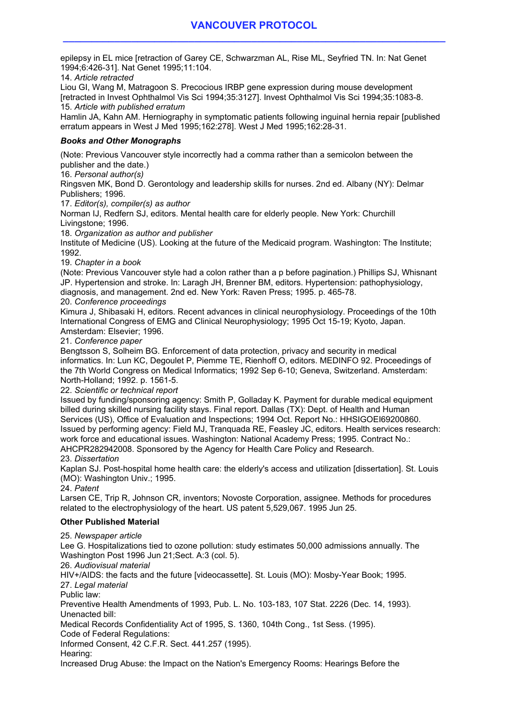epilepsy in EL mice [retraction of Garey CE, Schwarzman AL, Rise ML, Seyfried TN. In: Nat Genet 1994;6:426-31]. Nat Genet 1995;11:104.

## 14. *Article retracted*

Liou GI, Wang M, Matragoon S. Precocious IRBP gene expression during mouse development [retracted in Invest Ophthalmol Vis Sci 1994;35:3127]. Invest Ophthalmol Vis Sci 1994;35:1083-8. 15. *Article with published erratum*

Hamlin JA, Kahn AM. Herniography in symptomatic patients following inguinal hernia repair [published erratum appears in West J Med 1995;162:278]. West J Med 1995;162:28-31.

# *Books and Other Monographs*

(Note: Previous Vancouver style incorrectly had a comma rather than a semicolon between the publisher and the date.)

16. *Personal author(s)*

Ringsven MK, Bond D. Gerontology and leadership skills for nurses. 2nd ed. Albany (NY): Delmar Publishers; 1996.

17. *Editor(s), compiler(s) as author*

Norman IJ, Redfern SJ, editors. Mental health care for elderly people. New York: Churchill Livingstone; 1996.

18. *Organization as author and publisher*

Institute of Medicine (US). Looking at the future of the Medicaid program. Washington: The Institute; 1992.

19. *Chapter in a book*

(Note: Previous Vancouver style had a colon rather than a p before pagination.) Phillips SJ, Whisnant JP. Hypertension and stroke. In: Laragh JH, Brenner BM, editors. Hypertension: pathophysiology, diagnosis, and management. 2nd ed. New York: Raven Press; 1995. p. 465-78.

## 20. *Conference proceedings*

Kimura J, Shibasaki H, editors. Recent advances in clinical neurophysiology. Proceedings of the 10th International Congress of EMG and Clinical Neurophysiology; 1995 Oct 15-19; Kyoto, Japan. Amsterdam: Elsevier; 1996.

# 21. *Conference paper*

Bengtsson S, Solheim BG. Enforcement of data protection, privacy and security in medical informatics. In: Lun KC, Degoulet P, Piemme TE, Rienhoff O, editors. MEDINFO 92. Proceedings of the 7th World Congress on Medical Informatics; 1992 Sep 6-10; Geneva, Switzerland. Amsterdam: North-Holland; 1992. p. 1561-5.

## 22. *Scientific or technical report*

Issued by funding/sponsoring agency: Smith P, Golladay K. Payment for durable medical equipment billed during skilled nursing facility stays. Final report. Dallas (TX): Dept. of Health and Human Services (US), Office of Evaluation and Inspections; 1994 Oct. Report No.: HHSIGOEI69200860. Issued by performing agency: Field MJ, Tranquada RE, Feasley JC, editors. Health services research: work force and educational issues. Washington: National Academy Press; 1995. Contract No.: AHCPR282942008. Sponsored by the Agency for Health Care Policy and Research.

23. *Dissertation*

Kaplan SJ. Post-hospital home health care: the elderly's access and utilization [dissertation]. St. Louis (MO): Washington Univ.; 1995.

24. *Patent*

Larsen CE, Trip R, Johnson CR, inventors; Novoste Corporation, assignee. Methods for procedures related to the electrophysiology of the heart. US patent 5,529,067. 1995 Jun 25.

## **Other Published Material**

25. *Newspaper article*

Lee G. Hospitalizations tied to ozone pollution: study estimates 50,000 admissions annually. The Washington Post 1996 Jun 21;Sect. A:3 (col. 5).

26. *Audiovisual material*

HIV+/AIDS: the facts and the future [videocassette]. St. Louis (MO): Mosby-Year Book; 1995. 27. *Legal material*

Public law:

Preventive Health Amendments of 1993, Pub. L. No. 103-183, 107 Stat. 2226 (Dec. 14, 1993). Unenacted bill:

Medical Records Confidentiality Act of 1995, S. 1360, 104th Cong., 1st Sess. (1995).

Code of Federal Regulations:

Informed Consent, 42 C.F.R. Sect. 441.257 (1995).

Hearing:

Increased Drug Abuse: the Impact on the Nation's Emergency Rooms: Hearings Before the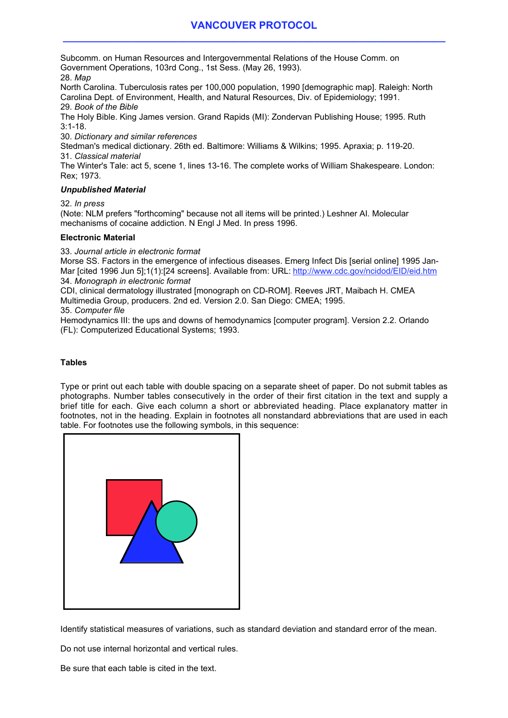Subcomm. on Human Resources and Intergovernmental Relations of the House Comm. on Government Operations, 103rd Cong., 1st Sess. (May 26, 1993). 28. *Map*

North Carolina. Tuberculosis rates per 100,000 population, 1990 [demographic map]. Raleigh: North Carolina Dept. of Environment, Health, and Natural Resources, Div. of Epidemiology; 1991. 29. *Book of the Bible*

The Holy Bible. King James version. Grand Rapids (MI): Zondervan Publishing House; 1995. Ruth 3:1-18.

30. *Dictionary and similar references*

Stedman's medical dictionary. 26th ed. Baltimore: Williams & Wilkins; 1995. Apraxia; p. 119-20. 31. *Classical material*

The Winter's Tale: act 5, scene 1, lines 13-16. The complete works of William Shakespeare. London: Rex; 1973.

## *Unpublished Material*

## 32. *In press*

(Note: NLM prefers "forthcoming" because not all items will be printed.) Leshner AI. Molecular mechanisms of cocaine addiction. N Engl J Med. In press 1996.

## **Electronic Material**

33. *Journal article in electronic format*

Morse SS. Factors in the emergence of infectious diseases. Emerg Infect Dis [serial online] 1995 Jan-Mar [cited 1996 Jun 5];1(1):[24 screens]. Available from: URL: http://www.cdc.gov/ncidod/EID/eid.htm 34. *Monograph in electronic format*

CDI, clinical dermatology illustrated [monograph on CD-ROM]. Reeves JRT, Maibach H. CMEA Multimedia Group, producers. 2nd ed. Version 2.0. San Diego: CMEA; 1995.

## 35. *Computer file*

Hemodynamics III: the ups and downs of hemodynamics [computer program]. Version 2.2. Orlando (FL): Computerized Educational Systems; 1993.

## **Tables**

Type or print out each table with double spacing on a separate sheet of paper. Do not submit tables as photographs. Number tables consecutively in the order of their first citation in the text and supply a brief title for each. Give each column a short or abbreviated heading. Place explanatory matter in footnotes, not in the heading. Explain in footnotes all nonstandard abbreviations that are used in each table. For footnotes use the following symbols, in this sequence:



Identify statistical measures of variations, such as standard deviation and standard error of the mean.

Do not use internal horizontal and vertical rules.

Be sure that each table is cited in the text.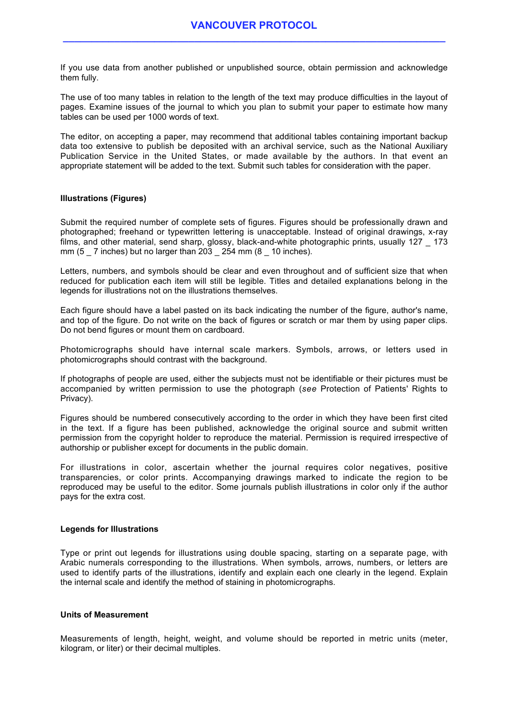If you use data from another published or unpublished source, obtain permission and acknowledge them fully.

The use of too many tables in relation to the length of the text may produce difficulties in the layout of pages. Examine issues of the journal to which you plan to submit your paper to estimate how many tables can be used per 1000 words of text.

The editor, on accepting a paper, may recommend that additional tables containing important backup data too extensive to publish be deposited with an archival service, such as the National Auxiliary Publication Service in the United States, or made available by the authors. In that event an appropriate statement will be added to the text. Submit such tables for consideration with the paper.

## **Illustrations (Figures)**

Submit the required number of complete sets of figures. Figures should be professionally drawn and photographed; freehand or typewritten lettering is unacceptable. Instead of original drawings, x-ray films, and other material, send sharp, glossy, black-and-white photographic prints, usually 127 173 mm  $(5 \t 7$  inches) but no larger than  $203 \t 254$  mm  $(8 \t 10$  inches).

Letters, numbers, and symbols should be clear and even throughout and of sufficient size that when reduced for publication each item will still be legible. Titles and detailed explanations belong in the legends for illustrations not on the illustrations themselves.

Each figure should have a label pasted on its back indicating the number of the figure, author's name, and top of the figure. Do not write on the back of figures or scratch or mar them by using paper clips. Do not bend figures or mount them on cardboard.

Photomicrographs should have internal scale markers. Symbols, arrows, or letters used in photomicrographs should contrast with the background.

If photographs of people are used, either the subjects must not be identifiable or their pictures must be accompanied by written permission to use the photograph (*see* Protection of Patients' Rights to Privacy).

Figures should be numbered consecutively according to the order in which they have been first cited in the text. If a figure has been published, acknowledge the original source and submit written permission from the copyright holder to reproduce the material. Permission is required irrespective of authorship or publisher except for documents in the public domain.

For illustrations in color, ascertain whether the journal requires color negatives, positive transparencies, or color prints. Accompanying drawings marked to indicate the region to be reproduced may be useful to the editor. Some journals publish illustrations in color only if the author pays for the extra cost.

## **Legends for Illustrations**

Type or print out legends for illustrations using double spacing, starting on a separate page, with Arabic numerals corresponding to the illustrations. When symbols, arrows, numbers, or letters are used to identify parts of the illustrations, identify and explain each one clearly in the legend. Explain the internal scale and identify the method of staining in photomicrographs.

## **Units of Measurement**

Measurements of length, height, weight, and volume should be reported in metric units (meter, kilogram, or liter) or their decimal multiples.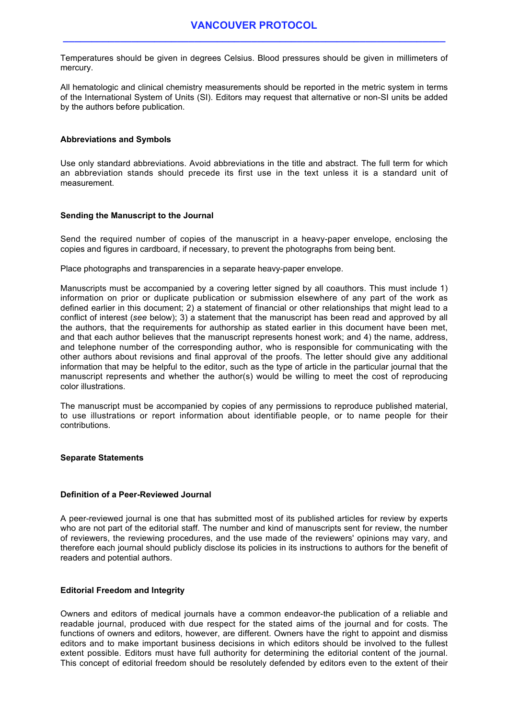Temperatures should be given in degrees Celsius. Blood pressures should be given in millimeters of mercury.

All hematologic and clinical chemistry measurements should be reported in the metric system in terms of the International System of Units (SI). Editors may request that alternative or non-SI units be added by the authors before publication.

## **Abbreviations and Symbols**

Use only standard abbreviations. Avoid abbreviations in the title and abstract. The full term for which an abbreviation stands should precede its first use in the text unless it is a standard unit of measurement.

## **Sending the Manuscript to the Journal**

Send the required number of copies of the manuscript in a heavy-paper envelope, enclosing the copies and figures in cardboard, if necessary, to prevent the photographs from being bent.

Place photographs and transparencies in a separate heavy-paper envelope.

Manuscripts must be accompanied by a covering letter signed by all coauthors. This must include 1) information on prior or duplicate publication or submission elsewhere of any part of the work as defined earlier in this document; 2) a statement of financial or other relationships that might lead to a conflict of interest (*see* below); 3) a statement that the manuscript has been read and approved by all the authors, that the requirements for authorship as stated earlier in this document have been met, and that each author believes that the manuscript represents honest work; and 4) the name, address, and telephone number of the corresponding author, who is responsible for communicating with the other authors about revisions and final approval of the proofs. The letter should give any additional information that may be helpful to the editor, such as the type of article in the particular journal that the manuscript represents and whether the author(s) would be willing to meet the cost of reproducing color illustrations.

The manuscript must be accompanied by copies of any permissions to reproduce published material, to use illustrations or report information about identifiable people, or to name people for their contributions.

## **Separate Statements**

## **Definition of a Peer-Reviewed Journal**

A peer-reviewed journal is one that has submitted most of its published articles for review by experts who are not part of the editorial staff. The number and kind of manuscripts sent for review, the number of reviewers, the reviewing procedures, and the use made of the reviewers' opinions may vary, and therefore each journal should publicly disclose its policies in its instructions to authors for the benefit of readers and potential authors.

## **Editorial Freedom and Integrity**

Owners and editors of medical journals have a common endeavor-the publication of a reliable and readable journal, produced with due respect for the stated aims of the journal and for costs. The functions of owners and editors, however, are different. Owners have the right to appoint and dismiss editors and to make important business decisions in which editors should be involved to the fullest extent possible. Editors must have full authority for determining the editorial content of the journal. This concept of editorial freedom should be resolutely defended by editors even to the extent of their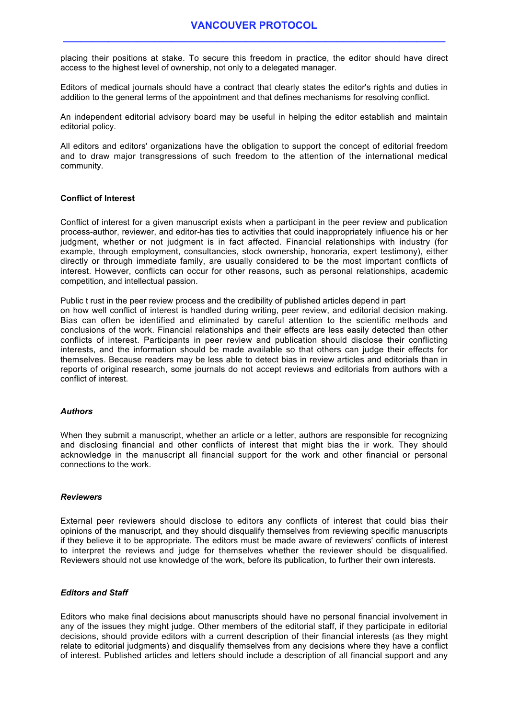placing their positions at stake. To secure this freedom in practice, the editor should have direct access to the highest level of ownership, not only to a delegated manager.

Editors of medical journals should have a contract that clearly states the editor's rights and duties in addition to the general terms of the appointment and that defines mechanisms for resolving conflict.

An independent editorial advisory board may be useful in helping the editor establish and maintain editorial policy.

All editors and editors' organizations have the obligation to support the concept of editorial freedom and to draw major transgressions of such freedom to the attention of the international medical community.

## **Conflict of Interest**

Conflict of interest for a given manuscript exists when a participant in the peer review and publication process-author, reviewer, and editor-has ties to activities that could inappropriately influence his or her judgment, whether or not judgment is in fact affected. Financial relationships with industry (for example, through employment, consultancies, stock ownership, honoraria, expert testimony), either directly or through immediate family, are usually considered to be the most important conflicts of interest. However, conflicts can occur for other reasons, such as personal relationships, academic competition, and intellectual passion.

Public t rust in the peer review process and the credibility of published articles depend in part on how well conflict of interest is handled during writing, peer review, and editorial decision making. Bias can often be identified and eliminated by careful attention to the scientific methods and conclusions of the work. Financial relationships and their effects are less easily detected than other conflicts of interest. Participants in peer review and publication should disclose their conflicting interests, and the information should be made available so that others can judge their effects for themselves. Because readers may be less able to detect bias in review articles and editorials than in reports of original research, some journals do not accept reviews and editorials from authors with a conflict of interest.

## *Authors*

When they submit a manuscript, whether an article or a letter, authors are responsible for recognizing and disclosing financial and other conflicts of interest that might bias the ir work. They should acknowledge in the manuscript all financial support for the work and other financial or personal connections to the work.

## *Reviewers*

External peer reviewers should disclose to editors any conflicts of interest that could bias their opinions of the manuscript, and they should disqualify themselves from reviewing specific manuscripts if they believe it to be appropriate. The editors must be made aware of reviewers' conflicts of interest to interpret the reviews and judge for themselves whether the reviewer should be disqualified. Reviewers should not use knowledge of the work, before its publication, to further their own interests.

## *Editors and Staff*

Editors who make final decisions about manuscripts should have no personal financial involvement in any of the issues they might judge. Other members of the editorial staff, if they participate in editorial decisions, should provide editors with a current description of their financial interests (as they might relate to editorial judgments) and disqualify themselves from any decisions where they have a conflict of interest. Published articles and letters should include a description of all financial support and any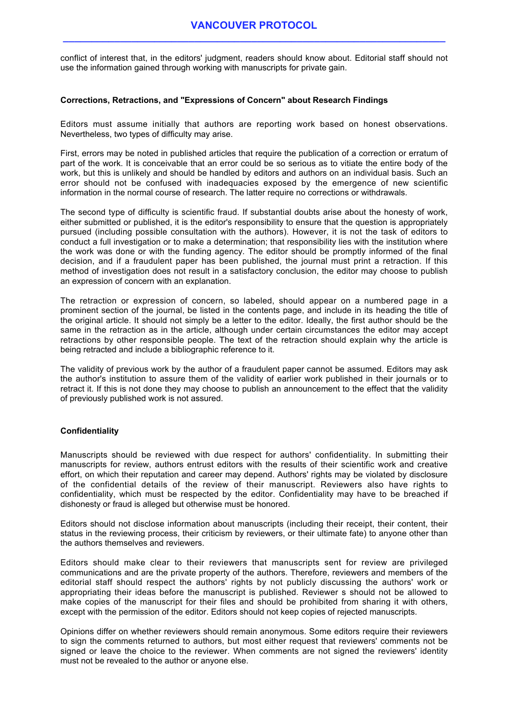conflict of interest that, in the editors' judgment, readers should know about. Editorial staff should not use the information gained through working with manuscripts for private gain.

## **Corrections, Retractions, and "Expressions of Concern" about Research Findings**

Editors must assume initially that authors are reporting work based on honest observations. Nevertheless, two types of difficulty may arise.

First, errors may be noted in published articles that require the publication of a correction or erratum of part of the work. It is conceivable that an error could be so serious as to vitiate the entire body of the work, but this is unlikely and should be handled by editors and authors on an individual basis. Such an error should not be confused with inadequacies exposed by the emergence of new scientific information in the normal course of research. The latter require no corrections or withdrawals.

The second type of difficulty is scientific fraud. If substantial doubts arise about the honesty of work, either submitted or published, it is the editor's responsibility to ensure that the question is appropriately pursued (including possible consultation with the authors). However, it is not the task of editors to conduct a full investigation or to make a determination; that responsibility lies with the institution where the work was done or with the funding agency. The editor should be promptly informed of the final decision, and if a fraudulent paper has been published, the journal must print a retraction. If this method of investigation does not result in a satisfactory conclusion, the editor may choose to publish an expression of concern with an explanation.

The retraction or expression of concern, so labeled, should appear on a numbered page in a prominent section of the journal, be listed in the contents page, and include in its heading the title of the original article. It should not simply be a letter to the editor. Ideally, the first author should be the same in the retraction as in the article, although under certain circumstances the editor may accept retractions by other responsible people. The text of the retraction should explain why the article is being retracted and include a bibliographic reference to it.

The validity of previous work by the author of a fraudulent paper cannot be assumed. Editors may ask the author's institution to assure them of the validity of earlier work published in their journals or to retract it. If this is not done they may choose to publish an announcement to the effect that the validity of previously published work is not assured.

## **Confidentiality**

Manuscripts should be reviewed with due respect for authors' confidentiality. In submitting their manuscripts for review, authors entrust editors with the results of their scientific work and creative effort, on which their reputation and career may depend. Authors' rights may be violated by disclosure of the confidential details of the review of their manuscript. Reviewers also have rights to confidentiality, which must be respected by the editor. Confidentiality may have to be breached if dishonesty or fraud is alleged but otherwise must be honored.

Editors should not disclose information about manuscripts (including their receipt, their content, their status in the reviewing process, their criticism by reviewers, or their ultimate fate) to anyone other than the authors themselves and reviewers.

Editors should make clear to their reviewers that manuscripts sent for review are privileged communications and are the private property of the authors. Therefore, reviewers and members of the editorial staff should respect the authors' rights by not publicly discussing the authors' work or appropriating their ideas before the manuscript is published. Reviewer s should not be allowed to make copies of the manuscript for their files and should be prohibited from sharing it with others, except with the permission of the editor. Editors should not keep copies of rejected manuscripts.

Opinions differ on whether reviewers should remain anonymous. Some editors require their reviewers to sign the comments returned to authors, but most either request that reviewers' comments not be signed or leave the choice to the reviewer. When comments are not signed the reviewers' identity must not be revealed to the author or anyone else.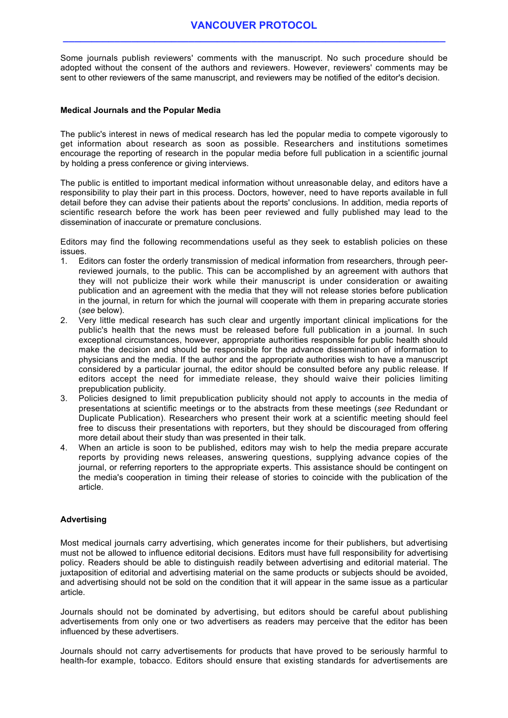Some journals publish reviewers' comments with the manuscript. No such procedure should be adopted without the consent of the authors and reviewers. However, reviewers' comments may be sent to other reviewers of the same manuscript, and reviewers may be notified of the editor's decision.

## **Medical Journals and the Popular Media**

The public's interest in news of medical research has led the popular media to compete vigorously to get information about research as soon as possible. Researchers and institutions sometimes encourage the reporting of research in the popular media before full publication in a scientific journal by holding a press conference or giving interviews.

The public is entitled to important medical information without unreasonable delay, and editors have a responsibility to play their part in this process. Doctors, however, need to have reports available in full detail before they can advise their patients about the reports' conclusions. In addition, media reports of scientific research before the work has been peer reviewed and fully published may lead to the dissemination of inaccurate or premature conclusions.

Editors may find the following recommendations useful as they seek to establish policies on these issues.

- 1. Editors can foster the orderly transmission of medical information from researchers, through peerreviewed journals, to the public. This can be accomplished by an agreement with authors that they will not publicize their work while their manuscript is under consideration or awaiting publication and an agreement with the media that they will not release stories before publication in the journal, in return for which the journal will cooperate with them in preparing accurate stories (*see* below).
- 2. Very little medical research has such clear and urgently important clinical implications for the public's health that the news must be released before full publication in a journal. In such exceptional circumstances, however, appropriate authorities responsible for public health should make the decision and should be responsible for the advance dissemination of information to physicians and the media. If the author and the appropriate authorities wish to have a manuscript considered by a particular journal, the editor should be consulted before any public release. If editors accept the need for immediate release, they should waive their policies limiting prepublication publicity.
- 3. Policies designed to limit prepublication publicity should not apply to accounts in the media of presentations at scientific meetings or to the abstracts from these meetings (*see* Redundant or Duplicate Publication). Researchers who present their work at a scientific meeting should feel free to discuss their presentations with reporters, but they should be discouraged from offering more detail about their study than was presented in their talk.
- 4. When an article is soon to be published, editors may wish to help the media prepare accurate reports by providing news releases, answering questions, supplying advance copies of the journal, or referring reporters to the appropriate experts. This assistance should be contingent on the media's cooperation in timing their release of stories to coincide with the publication of the article.

## **Advertising**

Most medical journals carry advertising, which generates income for their publishers, but advertising must not be allowed to influence editorial decisions. Editors must have full responsibility for advertising policy. Readers should be able to distinguish readily between advertising and editorial material. The juxtaposition of editorial and advertising material on the same products or subjects should be avoided, and advertising should not be sold on the condition that it will appear in the same issue as a particular article.

Journals should not be dominated by advertising, but editors should be careful about publishing advertisements from only one or two advertisers as readers may perceive that the editor has been influenced by these advertisers.

Journals should not carry advertisements for products that have proved to be seriously harmful to health-for example, tobacco. Editors should ensure that existing standards for advertisements are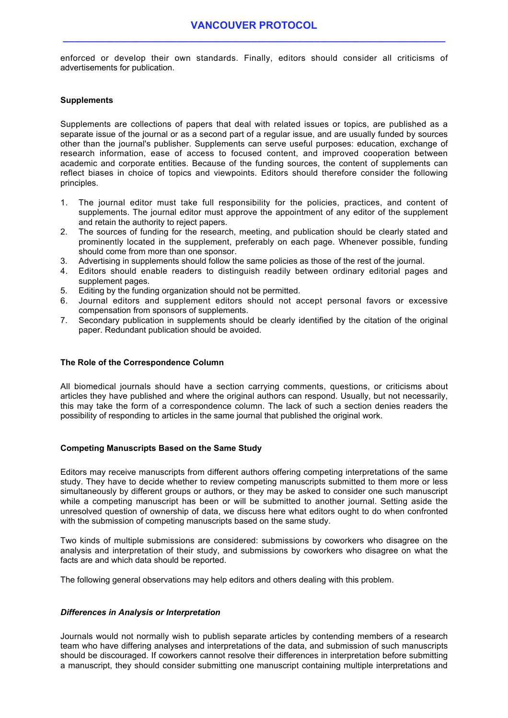enforced or develop their own standards. Finally, editors should consider all criticisms of advertisements for publication.

## **Supplements**

Supplements are collections of papers that deal with related issues or topics, are published as a separate issue of the journal or as a second part of a regular issue, and are usually funded by sources other than the journal's publisher. Supplements can serve useful purposes: education, exchange of research information, ease of access to focused content, and improved cooperation between academic and corporate entities. Because of the funding sources, the content of supplements can reflect biases in choice of topics and viewpoints. Editors should therefore consider the following principles.

- 1. The journal editor must take full responsibility for the policies, practices, and content of supplements. The journal editor must approve the appointment of any editor of the supplement and retain the authority to reject papers.
- 2. The sources of funding for the research, meeting, and publication should be clearly stated and prominently located in the supplement, preferably on each page. Whenever possible, funding should come from more than one sponsor.
- 3. Advertising in supplements should follow the same policies as those of the rest of the journal.
- 4. Editors should enable readers to distinguish readily between ordinary editorial pages and supplement pages.
- 5. Editing by the funding organization should not be permitted.
- 6. Journal editors and supplement editors should not accept personal favors or excessive compensation from sponsors of supplements.
- 7. Secondary publication in supplements should be clearly identified by the citation of the original paper. Redundant publication should be avoided.

## **The Role of the Correspondence Column**

All biomedical journals should have a section carrying comments, questions, or criticisms about articles they have published and where the original authors can respond. Usually, but not necessarily, this may take the form of a correspondence column. The lack of such a section denies readers the possibility of responding to articles in the same journal that published the original work.

## **Competing Manuscripts Based on the Same Study**

Editors may receive manuscripts from different authors offering competing interpretations of the same study. They have to decide whether to review competing manuscripts submitted to them more or less simultaneously by different groups or authors, or they may be asked to consider one such manuscript while a competing manuscript has been or will be submitted to another journal. Setting aside the unresolved question of ownership of data, we discuss here what editors ought to do when confronted with the submission of competing manuscripts based on the same study.

Two kinds of multiple submissions are considered: submissions by coworkers who disagree on the analysis and interpretation of their study, and submissions by coworkers who disagree on what the facts are and which data should be reported.

The following general observations may help editors and others dealing with this problem.

## *Differences in Analysis or Interpretation*

Journals would not normally wish to publish separate articles by contending members of a research team who have differing analyses and interpretations of the data, and submission of such manuscripts should be discouraged. If coworkers cannot resolve their differences in interpretation before submitting a manuscript, they should consider submitting one manuscript containing multiple interpretations and